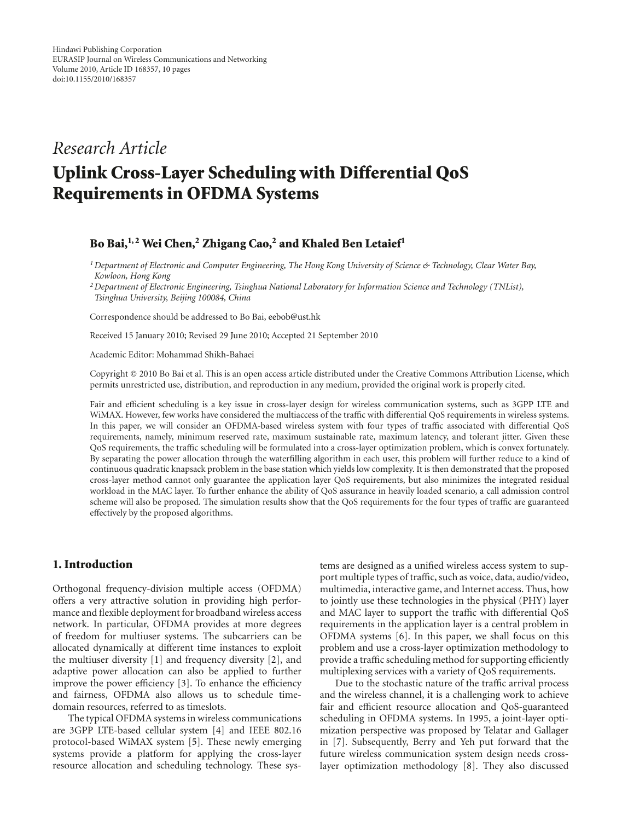## *Research Article*

# **Uplink Cross-Layer Scheduling with Differential QoS Requirements in OFDMA Systems**

#### **Bo Bai,1, 2 Wei Chen,2 Zhigang Cao,2 and Khaled Ben Letaief1**

*1Department of Electronic and Computer Engineering, The Hong Kong University of Science & Technology, Clear Water Bay, Kowloon, Hong Kong*

*2Department of Electronic Engineering, Tsinghua National Laboratory for Information Science and Technology (TNList), Tsinghua University, Beijing 100084, China*

Correspondence should be addressed to Bo Bai, eebob@ust.hk

Received 15 January 2010; Revised 29 June 2010; Accepted 21 September 2010

Academic Editor: Mohammad Shikh-Bahaei

Copyright © 2010 Bo Bai et al. This is an open access article distributed under the Creative Commons Attribution License, which permits unrestricted use, distribution, and reproduction in any medium, provided the original work is properly cited.

Fair and efficient scheduling is a key issue in cross-layer design for wireless communication systems, such as 3GPP LTE and WiMAX. However, few works have considered the multiaccess of the traffic with differential QoS requirements in wireless systems. In this paper, we will consider an OFDMA-based wireless system with four types of traffic associated with differential QoS requirements, namely, minimum reserved rate, maximum sustainable rate, maximum latency, and tolerant jitter. Given these QoS requirements, the traffic scheduling will be formulated into a cross-layer optimization problem, which is convex fortunately. By separating the power allocation through the waterfilling algorithm in each user, this problem will further reduce to a kind of continuous quadratic knapsack problem in the base station which yields low complexity. It is then demonstrated that the proposed cross-layer method cannot only guarantee the application layer QoS requirements, but also minimizes the integrated residual workload in the MAC layer. To further enhance the ability of QoS assurance in heavily loaded scenario, a call admission control scheme will also be proposed. The simulation results show that the QoS requirements for the four types of traffic are guaranteed effectively by the proposed algorithms.

### **1. Introduction**

Orthogonal frequency-division multiple access (OFDMA) offers a very attractive solution in providing high performance and flexible deployment for broadband wireless access network. In particular, OFDMA provides at more degrees of freedom for multiuser systems. The subcarriers can be allocated dynamically at different time instances to exploit the multiuser diversity [1] and frequency diversity [2], and adaptive power allocation can also be applied to further improve the power efficiency [3]. To enhance the efficiency and fairness, OFDMA also allows us to schedule timedomain resources, referred to as timeslots.

The typical OFDMA systems in wireless communications are 3GPP LTE-based cellular system [4] and IEEE 802.16 protocol-based WiMAX system [5]. These newly emerging systems provide a platform for applying the cross-layer resource allocation and scheduling technology. These systems are designed as a unified wireless access system to support multiple types of traffic, such as voice, data, audio/video, multimedia, interactive game, and Internet access. Thus, how to jointly use these technologies in the physical (PHY) layer and MAC layer to support the traffic with differential QoS requirements in the application layer is a central problem in OFDMA systems [6]. In this paper, we shall focus on this problem and use a cross-layer optimization methodology to provide a traffic scheduling method for supporting efficiently multiplexing services with a variety of QoS requirements.

Due to the stochastic nature of the traffic arrival process and the wireless channel, it is a challenging work to achieve fair and efficient resource allocation and QoS-guaranteed scheduling in OFDMA systems. In 1995, a joint-layer optimization perspective was proposed by Telatar and Gallager in [7]. Subsequently, Berry and Yeh put forward that the future wireless communication system design needs crosslayer optimization methodology [8]. They also discussed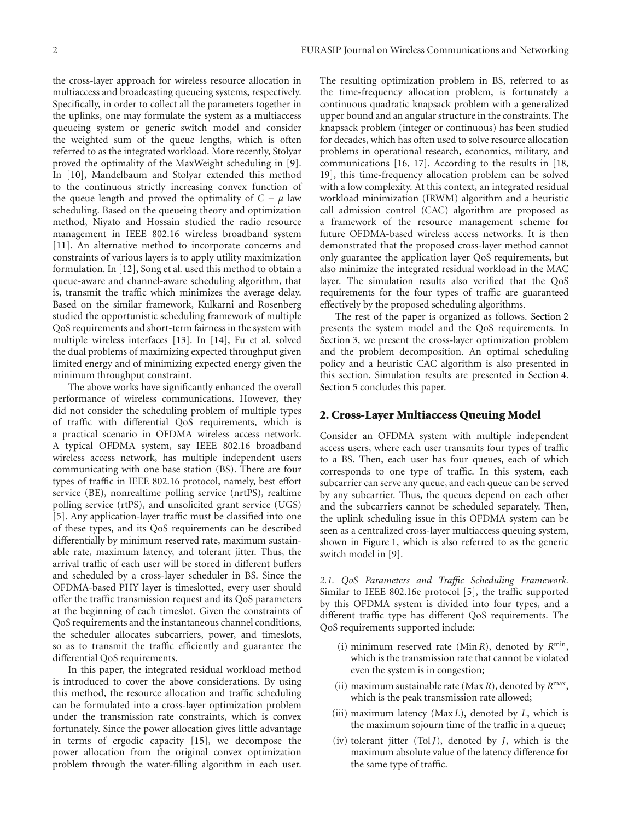the cross-layer approach for wireless resource allocation in multiaccess and broadcasting queueing systems, respectively. Specifically, in order to collect all the parameters together in the uplinks, one may formulate the system as a multiaccess queueing system or generic switch model and consider the weighted sum of the queue lengths, which is often referred to as the integrated workload. More recently, Stolyar proved the optimality of the MaxWeight scheduling in [9]. In [10], Mandelbaum and Stolyar extended this method to the continuous strictly increasing convex function of the queue length and proved the optimality of  $C - \mu$  law scheduling. Based on the queueing theory and optimization method, Niyato and Hossain studied the radio resource management in IEEE 802.16 wireless broadband system [11]. An alternative method to incorporate concerns and constraints of various layers is to apply utility maximization formulation. In [12], Song et al*.* used this method to obtain a queue-aware and channel-aware scheduling algorithm, that is, transmit the traffic which minimizes the average delay. Based on the similar framework, Kulkarni and Rosenberg studied the opportunistic scheduling framework of multiple QoS requirements and short-term fairness in the system with multiple wireless interfaces [13]. In [14], Fu et al*.* solved the dual problems of maximizing expected throughput given limited energy and of minimizing expected energy given the minimum throughput constraint.

The above works have significantly enhanced the overall performance of wireless communications. However, they did not consider the scheduling problem of multiple types of traffic with differential QoS requirements, which is a practical scenario in OFDMA wireless access network. A typical OFDMA system, say IEEE 802.16 broadband wireless access network, has multiple independent users communicating with one base station (BS). There are four types of traffic in IEEE 802.16 protocol, namely, best effort service (BE), nonrealtime polling service (nrtPS), realtime polling service (rtPS), and unsolicited grant service (UGS) [5]. Any application-layer traffic must be classified into one of these types, and its QoS requirements can be described differentially by minimum reserved rate, maximum sustainable rate, maximum latency, and tolerant jitter. Thus, the arrival traffic of each user will be stored in different buffers and scheduled by a cross-layer scheduler in BS. Since the OFDMA-based PHY layer is timeslotted, every user should offer the traffic transmission request and its QoS parameters at the beginning of each timeslot. Given the constraints of QoS requirements and the instantaneous channel conditions, the scheduler allocates subcarriers, power, and timeslots, so as to transmit the traffic efficiently and guarantee the differential QoS requirements.

In this paper, the integrated residual workload method is introduced to cover the above considerations. By using this method, the resource allocation and traffic scheduling can be formulated into a cross-layer optimization problem under the transmission rate constraints, which is convex fortunately. Since the power allocation gives little advantage in terms of ergodic capacity [15], we decompose the power allocation from the original convex optimization problem through the water-filling algorithm in each user.

The resulting optimization problem in BS, referred to as the time-frequency allocation problem, is fortunately a continuous quadratic knapsack problem with a generalized upper bound and an angular structure in the constraints. The knapsack problem (integer or continuous) has been studied for decades, which has often used to solve resource allocation problems in operational research, economics, military, and communications [16, 17]. According to the results in [18, 19], this time-frequency allocation problem can be solved with a low complexity. At this context, an integrated residual workload minimization (IRWM) algorithm and a heuristic call admission control (CAC) algorithm are proposed as a framework of the resource management scheme for future OFDMA-based wireless access networks. It is then demonstrated that the proposed cross-layer method cannot only guarantee the application layer QoS requirements, but also minimize the integrated residual workload in the MAC layer. The simulation results also verified that the QoS requirements for the four types of traffic are guaranteed effectively by the proposed scheduling algorithms.

The rest of the paper is organized as follows. Section 2 presents the system model and the QoS requirements. In Section 3, we present the cross-layer optimization problem and the problem decomposition. An optimal scheduling policy and a heuristic CAC algorithm is also presented in this section. Simulation results are presented in Section 4. Section 5 concludes this paper.

#### **2. Cross-Layer Multiaccess Queuing Model**

Consider an OFDMA system with multiple independent access users, where each user transmits four types of traffic to a BS. Then, each user has four queues, each of which corresponds to one type of traffic. In this system, each subcarrier can serve any queue, and each queue can be served by any subcarrier. Thus, the queues depend on each other and the subcarriers cannot be scheduled separately. Then, the uplink scheduling issue in this OFDMA system can be seen as a centralized cross-layer multiaccess queuing system, shown in Figure 1, which is also referred to as the generic switch model in [9].

*2.1. QoS Parameters and Traffic Scheduling Framework.* Similar to IEEE 802.16e protocol [5], the traffic supported by this OFDMA system is divided into four types, and a different traffic type has different QoS requirements. The QoS requirements supported include:

- (i) minimum reserved rate (Min*R*), denoted by *R*min, which is the transmission rate that cannot be violated even the system is in congestion;
- (ii) maximum sustainable rate (Max *R*), denoted by *R*max, which is the peak transmission rate allowed;
- (iii) maximum latency (Max *L*), denoted by *L*, which is the maximum sojourn time of the traffic in a queue;
- (iv) tolerant jitter (Tol  $J$ ), denoted by  $J$ , which is the maximum absolute value of the latency difference for the same type of traffic.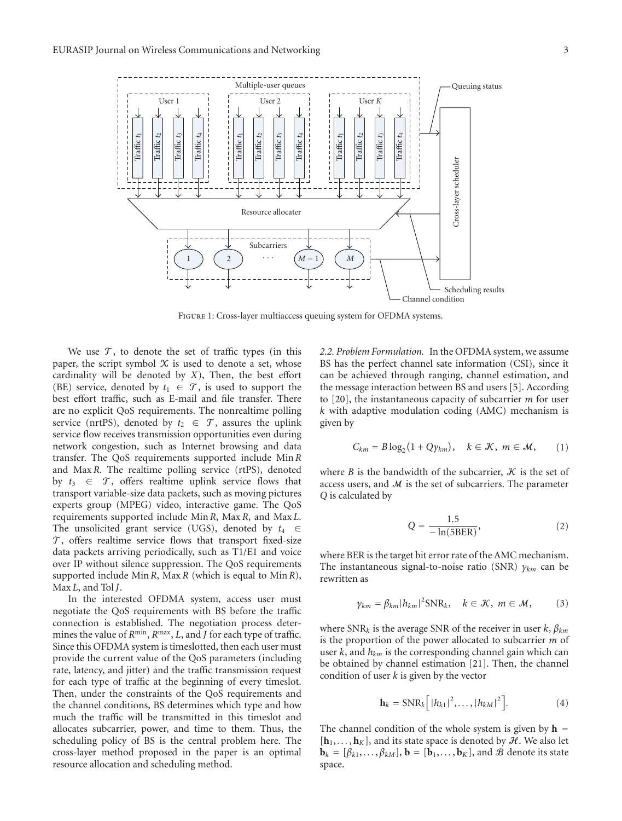

Figure 1: Cross-layer multiaccess queuing system for OFDMA systems.

We use  $\mathcal{T}$ , to denote the set of traffic types (in this paper, the script symbol  $X$  is used to denote a set, whose cardinality will be denoted by *X*), Then, the best effort (BE) service, denoted by  $t_1 \in \mathcal{T}$ , is used to support the best effort traffic, such as E-mail and file transfer. There are no explicit QoS requirements. The nonrealtime polling service (nrtPS), denoted by  $t_2 \in \mathcal{T}$ , assures the uplink service flow receives transmission opportunities even during network congestion, such as Internet browsing and data transfer. The QoS requirements supported include Min *R* and Max *R*. The realtime polling service (rtPS), denoted by  $t_3 \in \mathcal{T}$ , offers realtime uplink service flows that transport variable-size data packets, such as moving pictures experts group (MPEG) video, interactive game. The QoS requirements supported include Min *R*, Max *R*, and Max *L*. The unsolicited grant service (UGS), denoted by *t*<sup>4</sup> ∈  $\mathcal{T}$ , offers realtime service flows that transport fixed-size data packets arriving periodically, such as T1/E1 and voice over IP without silence suppression. The QoS requirements supported include Min *R*, Max *R* (which is equal to Min*R*), Max *L*, and Tol *J*.

In the interested OFDMA system, access user must negotiate the QoS requirements with BS before the traffic connection is established. The negotiation process determines the value of  $R^{\text{min}}$ ,  $R^{\text{max}}$ ,  $L$ , and  $J$  for each type of traffic. Since this OFDMA system is timeslotted, then each user must provide the current value of the QoS parameters (including rate, latency, and jitter) and the traffic transmission request for each type of traffic at the beginning of every timeslot. Then, under the constraints of the QoS requirements and the channel conditions, BS determines which type and how much the traffic will be transmitted in this timeslot and allocates subcarrier, power, and time to them. Thus, the scheduling policy of BS is the central problem here. The cross-layer method proposed in the paper is an optimal resource allocation and scheduling method.

*2.2. Problem Formulation.* In the OFDMA system, we assume BS has the perfect channel sate information (CSI), since it can be achieved through ranging, channel estimation, and the message interaction between BS and users [5]. According to [20], the instantaneous capacity of subcarrier *m* for user *k* with adaptive modulation coding (AMC) mechanism is given by

$$
C_{km} = B \log_2(1 + Q\gamma_{km}), \quad k \in \mathcal{K}, \ m \in \mathcal{M}, \qquad (1)
$$

where *B* is the bandwidth of the subcarrier,  $K$  is the set of access users, and  $M$  is the set of subcarriers. The parameter *Q* is calculated by

$$
Q = \frac{1.5}{-\ln(5BER)},\tag{2}
$$

where BER is the target bit error rate of the AMC mechanism. The instantaneous signal-to-noise ratio (SNR) *γkm* can be rewritten as

$$
\gamma_{km} = \beta_{km} |h_{km}|^2 \text{SNR}_k, \quad k \in \mathcal{K}, \ m \in \mathcal{M}, \tag{3}
$$

where SNR*<sup>k</sup>* is the average SNR of the receiver in user *k*, *βkm* is the proportion of the power allocated to subcarrier *m* of user *k*, and *hkm* is the corresponding channel gain which can be obtained by channel estimation [21]. Then, the channel condition of user *k* is given by the vector

$$
\mathbf{h}_{k} = \text{SNR}_{k} \left[ |h_{k1}|^{2}, \ldots, |h_{kM}|^{2} \right]. \tag{4}
$$

The channel condition of the whole system is given by  $h =$  $[\mathbf{h}_1, \dots, \mathbf{h}_K]$ , and its state space is denoted by  $\mathcal{H}$ . We also let  $\mathbf{b}_k = [\beta_{k1}, \dots, \beta_{kM}], \mathbf{b} = [\mathbf{b}_1, \dots, \mathbf{b}_K],$  and  $\mathcal{B}$  denote its state space.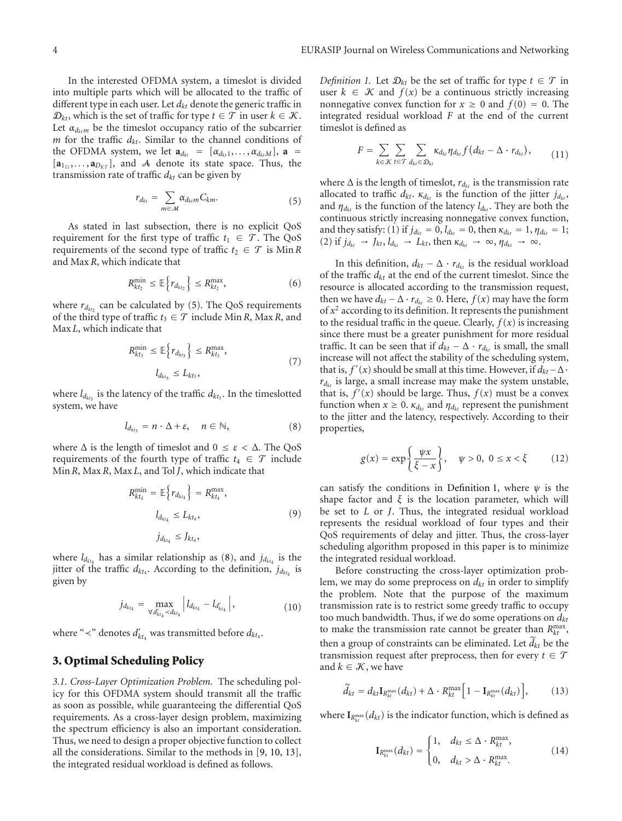In the interested OFDMA system, a timeslot is divided into multiple parts which will be allocated to the traffic of different type in each user. Let *dkt* denote the generic traffic in  $\mathcal{D}_{kt}$ , which is the set of traffic for type  $t \in \mathcal{T}$  in user  $k \in \mathcal{K}$ . Let  $\alpha_{d_{k+m}}$  be the timeslot occupancy ratio of the subcarrier *m* for the traffic *dkt*. Similar to the channel conditions of the OFDMA system, we let  $\mathbf{a}_{d_{kt}} = [\alpha_{d_{kt}1}, \dots, \alpha_{d_{kt}M}], \mathbf{a} =$  $[a_{11}, \ldots, a_{D_{KT}}]$ , and A denote its state space. Thus, the transmission rate of traffic  $d_{kt}$  can be given by

$$
r_{d_{kt}} = \sum_{m \in \mathcal{M}} \alpha_{d_{kt}m} C_{km}.
$$
 (5)

As stated in last subsection, there is no explicit QoS requirement for the first type of traffic  $t_1 \in \mathcal{T}$ . The QoS requirements of the second type of traffic  $t_2 \in \mathcal{T}$  is Min R and Max *R*, which indicate that

$$
R_{kt_2}^{\min} \leq \mathbb{E}\Big\{r_{d_{kt_2}}\Big\} \leq R_{kt_2}^{\max},\tag{6}
$$

where  $r_{d_{kt_2}}$  can be calculated by (5). The QoS requirements of the third type of traffic  $t_3 \in \mathcal{T}$  include Min *R*, Max *R*, and Max *L*, which indicate that

$$
R_{kt_3}^{\min} \le \mathbb{E}\left\{r_{d_{kt_3}}\right\} \le R_{kt_3}^{\max},
$$
\n
$$
l_{d_{kt_3}} \le L_{kt_3},
$$
\n
$$
(7)
$$

where  $l_{d_{kt_3}}$  is the latency of the traffic  $d_{kt_3}$ . In the timeslotted system, we have

$$
l_{d_{kt_3}} = n \cdot \Delta + \varepsilon, \quad n \in \mathbb{N}, \tag{8}
$$

where  $\Delta$  is the length of timeslot and  $0 \le \varepsilon < \Delta$ . The QoS requirements of the fourth type of traffic  $t_4 \in \mathcal{T}$  include Min*R*, Max *R*, Max *L*, and Tol *J*, which indicate that

$$
R_{kt_4}^{\min} = \mathbb{E}\Big\{r_{d_{kt_4}}\Big\} = R_{kt_4}^{\max},
$$
\n
$$
l_{d_{kt_4}} \le L_{kt_4},
$$
\n
$$
j_{d_{kt_4}} \le J_{kt_4},
$$
\n(9)

where  $l_{d_{kt_4}}$  has a similar relationship as (8), and  $j_{d_{kt_4}}$  is the jitter of the traffic  $d_{kt_4}$ . According to the definition,  $j_{dt_{kt_4}}$  is given by

$$
j_{d_{kt_4}} = \max_{\forall d'_{kt_4} \prec d_{kt_4}} |l_{d_{kt_4}} - l_{d'_{kt_4}}|, \qquad (10)
$$

where " $\prec$ " denotes  $d'_{kt_4}$  was transmitted before  $d_{kt_4}.$ 

#### **3. Optimal Scheduling Policy**

*3.1. Cross-Layer Optimization Problem.* The scheduling policy for this OFDMA system should transmit all the traffic as soon as possible, while guaranteeing the differential QoS requirements. As a cross-layer design problem, maximizing the spectrum efficiency is also an important consideration. Thus, we need to design a proper objective function to collect all the considerations. Similar to the methods in [9, 10, 13], the integrated residual workload is defined as follows.

*Definition 1.* Let  $\mathcal{D}_{kt}$  be the set of traffic for type  $t \in \mathcal{T}$  in user  $k \in \mathcal{K}$  and  $f(x)$  be a continuous strictly increasing nonnegative convex function for  $x \ge 0$  and  $f(0) = 0$ . The integrated residual workload *F* at the end of the current timeslot is defined as

$$
F = \sum_{k \in \mathcal{K}} \sum_{t \in \mathcal{T}} \sum_{d_{kt} \in \mathcal{D}_{kt}} \kappa_{d_{kt}} \eta_{d_{kt}} f(d_{kt} - \Delta \cdot r_{d_{kt}}), \qquad (11)
$$

where  $\Delta$  is the length of timeslot,  $r_{d_{kt}}$  is the transmission rate allocated to traffic  $d_{kt}$ .  $\kappa_{d_{kt}}$  is the function of the jitter  $j_{d_{kt}}$ , and  $\eta_{d_{kt}}$  is the function of the latency  $l_{d_{kt}}$ . They are both the continuous strictly increasing nonnegative convex function, and they satisfy: (1) if  $j_{d_{kt}} = 0$ ,  $l_{d_{kt}} = 0$ , then  $\kappa_{d_{kt}} = 1$ ,  $\eta_{d_{kt}} = 1$ ; (2) if  $j_{d_{kt}} \rightarrow J_{kt}, l_{d_{kt}} \rightarrow L_{kt}$ , then  $\kappa_{d_{kt}} \rightarrow \infty$ ,  $\eta_{d_{kt}} \rightarrow \infty$ .

In this definition,  $d_{kt} - \Delta \cdot r_{d_{kt}}$  is the residual workload of the traffic  $d_{kt}$  at the end of the current timeslot. Since the resource is allocated according to the transmission request, then we have  $d_{kt}$  −  $\Delta \cdot r_{d_{kt}}$  ≥ 0. Here,  $f(x)$  may have the form of  $x^2$  according to its definition. It represents the punishment to the residual traffic in the queue. Clearly,  $f(x)$  is increasing since there must be a greater punishment for more residual traffic. It can be seen that if  $d_{kt} - \Delta \cdot r_{d_{kt}}$  is small, the small increase will not affect the stability of the scheduling system, that is,  $f'(x)$  should be small at this time. However, if  $d_{kt}$  –  $\Delta$ ·  $r_{d_{kt}}$  is large, a small increase may make the system unstable, that is,  $f'(x)$  should be large. Thus,  $f(x)$  must be a convex function when  $x \geq 0$ .  $\kappa_{dkt}$  and  $\eta_{dkt}$  represent the punishment to the jitter and the latency, respectively. According to their properties,

$$
g(x) = \exp\left\{\frac{\psi x}{\xi - x}\right\}, \quad \psi > 0, \ 0 \le x < \xi \tag{12}
$$

can satisfy the conditions in Definition 1, where  $\psi$  is the shape factor and  $\xi$  is the location parameter, which will be set to *L* or *J*. Thus, the integrated residual workload represents the residual workload of four types and their QoS requirements of delay and jitter. Thus, the cross-layer scheduling algorithm proposed in this paper is to minimize the integrated residual workload.

Before constructing the cross-layer optimization problem, we may do some preprocess on  $d_{kt}$  in order to simplify the problem. Note that the purpose of the maximum transmission rate is to restrict some greedy traffic to occupy too much bandwidth. Thus, if we do some operations on *dkt* to make the transmission rate cannot be greater than  $R_{kt}^{\text{max}}$ , then a group of constraints can be eliminated. Let  $d_{kt}$  be the transmission request after preprocess, then for every  $t \in \mathcal{T}$ and  $k \in \mathcal{K}$ , we have

$$
\widetilde{d}_{kt} = d_{kt} \mathbf{I}_{R_{kt}}^{\max}(d_{kt}) + \Delta \cdot R_{kt}^{\max} \Big[ 1 - \mathbf{I}_{R_{kt}}^{\max}(d_{kt}) \Big], \tag{13}
$$

where  $\mathbf{I}_{R_{kt}^{\max}}(d_{kt})$  is the indicator function, which is defined as

$$
\mathbf{I}_{R_{kt}^{\max}}(d_{kt}) = \begin{cases} 1, & d_{kt} \leq \Delta \cdot R_{kt}^{\max}, \\ 0, & d_{kt} > \Delta \cdot R_{kt}^{\max}. \end{cases}
$$
(14)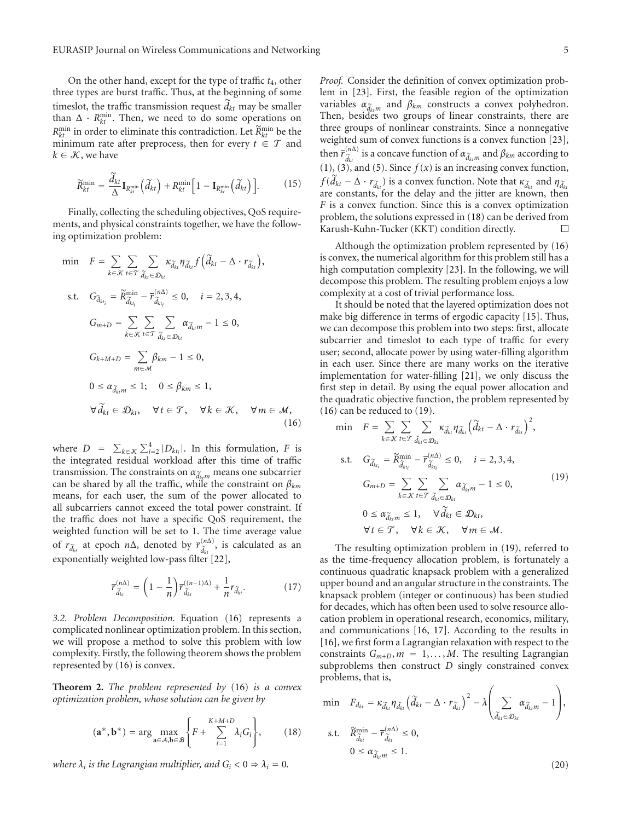On the other hand, except for the type of traffic *t*4, other three types are burst traffic. Thus, at the beginning of some times to the traffic transmission request  $d_{kt}$  may be smaller than  $\Delta \cdot R_{kt}^{\min}$ . Then, we need to do some operations on  $R_{kt}^{\min}$  in order to eliminate this contradiction. Let  $\widetilde{R}_{kt}^{\min}$  be the minimum rate after preprocess, then for every  $t \in \mathcal{T}$  and  $k \in \mathcal{K}$ , we have

$$
\widetilde{R}_{kt}^{\min} = \frac{\widetilde{d}_{kt}}{\Delta} \mathbf{I}_{R_{kt}^{\min}} \left( \widetilde{d}_{kt} \right) + R_{kt}^{\min} \left[ 1 - \mathbf{I}_{R_{kt}^{\min}} \left( \widetilde{d}_{kt} \right) \right]. \tag{15}
$$

Finally, collecting the scheduling objectives, QoS requirements, and physical constraints together, we have the following optimization problem:

$$
\begin{aligned}\n\min \quad & F = \sum_{k \in \mathcal{K}} \sum_{t \in \mathcal{T}} \sum_{\tilde{d}_{kt}} \kappa_{\tilde{d}_{kt}} \eta_{\tilde{d}_{kt}} f\left(\tilde{d}_{kt} - \Delta \cdot r_{\tilde{d}_{kt}}\right), \\
\text{s.t.} \quad & G_{\tilde{d}_{kt_i}} = \widetilde{R}_{\tilde{d}_{kt_i}}^{\min} - \overline{r}_{\tilde{d}_{kt_i}}^{\left(n\Delta\right)} \le 0, \quad i = 2, 3, 4, \\
& G_{m+D} = \sum_{k \in \mathcal{K}} \sum_{t \in \mathcal{T}} \sum_{\tilde{d}_{kt} \in \mathcal{D}_{kt}} \alpha_{\tilde{d}_{kt}m} - 1 \le 0, \\
& G_{k+M+D} = \sum_{m \in \mathcal{M}} \beta_{km} - 1 \le 0, \\
& 0 \le \alpha_{\tilde{d}_{kt}m} \le 1; \quad 0 \le \beta_{km} \le 1, \\
& \forall \tilde{d}_{kt} \in \mathcal{D}_{kt}, \quad \forall t \in \mathcal{T}, \quad \forall k \in \mathcal{K}, \quad \forall m \in \mathcal{M}, \\
& (16)\n\end{aligned}
$$

where  $D = \sum_{k \in \mathcal{K}} \sum_{i=2}^{4} |D_{kt_i}|$ . In this formulation, *F* is the integrated residual workload after this time of traffic transmission. The constraints on  $\alpha_{\tilde{d}_{k,m}}$  means one subcarrier can be shared by all the traffic, while the constraint on  $\beta_{km}$ means, for each user, the sum of the power allocated to all subcarriers cannot exceed the total power constraint. If the traffic does not have a specific QoS requirement, the weighted function will be set to 1. The time average value of  $r_{\tilde{d}_{kt}}$  at epoch  $n\Delta$ , denoted by  $\overline{r}_{\tilde{d}_{kt}}^{(n\Delta)}$  $\tilde{d}_{kt}^{(n\Delta)}$ , is calculated as an exponentially weighted low-pass filter [22],

$$
\overline{r}^{(n\Delta)}_{\widetilde{d}_{kt}} = \left(1 - \frac{1}{n}\right) \overline{r}^{((n-1)\Delta)}_{\widetilde{d}_{kt}} + \frac{1}{n} r_{\widetilde{d}_{kt}}.
$$
\n(17)

*3.2. Problem Decomposition.* Equation (16) represents a complicated nonlinear optimization problem. In this section, we will propose a method to solve this problem with low complexity. Firstly, the following theorem shows the problem represented by (16) is convex.

**Theorem 2.** *The problem represented by* (16) *is a convex optimization problem, whose solution can be given by*

$$
(\mathbf{a}^*, \mathbf{b}^*) = \arg \max_{\mathbf{a} \in \mathcal{A}, \mathbf{b} \in \mathcal{B}} \left\{ F + \sum_{i=1}^{K+M+D} \lambda_i G_i \right\},\qquad(18)
$$

*where*  $\lambda_i$  *is the Lagrangian multiplier, and*  $G_i < 0 \Rightarrow \lambda_i = 0$ *.* 

*Proof.* Consider the definition of convex optimization problem in [23]. First, the feasible region of the optimization variables  $\alpha_{\tilde{d}_{klm}}$  and  $\beta_{km}$  constructs a convex polyhedron. Then, besides two groups of linear constraints, there are three groups of nonlinear constraints. Since a nonnegative weighted sum of convex functions is a convex function [23], then  $\overline{r}_{\widetilde{a}}^{(n\Delta)}$  $\tilde{d}_{\lambda t}^{(m\Delta)}$  is a concave function of  $\alpha_{\tilde{d}_{kt}m}$  and  $\beta_{km}$  according to  $(1)$ ,  $(3)$ , and  $(5)$ . Since  $f(x)$  is an increasing convex function,  $f(d_{kt} - \Delta \cdot r_{\tilde{d}_{kt}})$  is a convex function. Note that  $\kappa_{\tilde{d}_{kt}}$  and  $\eta_{\tilde{d}_{kt}}$ are constants, for the delay and the jitter are known, then *F* is a convex function. Since this is a convex optimization problem, the solutions expressed in (18) can be derived from Karush-Kuhn-Tucker (KKT) condition directly.  $\Box$ 

Although the optimization problem represented by (16) is convex, the numerical algorithm for this problem still has a high computation complexity [23]. In the following, we will decompose this problem. The resulting problem enjoys a low complexity at a cost of trivial performance loss.

It should be noted that the layered optimization does not make big difference in terms of ergodic capacity [15]. Thus, we can decompose this problem into two steps: first, allocate subcarrier and timeslot to each type of traffic for every user; second, allocate power by using water-filling algorithm in each user. Since there are many works on the iterative implementation for water-filling [21], we only discuss the first step in detail. By using the equal power allocation and the quadratic objective function, the problem represented by (16) can be reduced to (19).

$$
\begin{aligned}\n\min \quad & F = \sum_{k \in \mathcal{K}} \sum_{t \in \mathcal{T}} \sum_{\tilde{d}_{kt}} \kappa_{\tilde{d}_{kt}} \eta_{\tilde{d}_{kt}} \left( \tilde{d}_{kt} - \Delta \cdot r_{\tilde{d}_{kt}} \right)^2, \\
\text{s.t.} \quad & G_{\tilde{d}_{kt_i}} = \tilde{R}_{\tilde{d}_{kt_i}}^{\min} - \tilde{r}_{\tilde{d}_{kt_i}}^{\min} \leq 0, \quad i = 2, 3, 4, \\
& G_{m+D} = \sum_{k \in \mathcal{K}} \sum_{t \in \mathcal{T}} \sum_{\tilde{d}_{kt_i} \in \mathcal{D}_{kt}} \alpha_{\tilde{d}_{kt}m} - 1 \leq 0, \\
& 0 \leq \alpha_{\tilde{d}_{kt}} \leq 1, \quad \forall \tilde{d}_{kt} \in \mathcal{D}_{kt}, \\
& \forall t \in \mathcal{T}, \quad \forall k \in \mathcal{K}, \quad \forall m \in \mathcal{M}.\n\end{aligned}
$$
\n
$$
(19)
$$

The resulting optimization problem in (19), referred to as the time-frequency allocation problem, is fortunately a continuous quadratic knapsack problem with a generalized upper bound and an angular structure in the constraints. The knapsack problem (integer or continuous) has been studied for decades, which has often been used to solve resource allocation problem in operational research, economics, military, and communications [16, 17]. According to the results in [16], we first form a Lagrangian relaxation with respect to the constraints  $G_{m+D}$ ,  $m = 1, \ldots, M$ . The resulting Lagrangian subproblems then construct *D* singly constrained convex problems, that is,

$$
\begin{aligned}\n\min \quad & F_{d_{kt}} = \kappa_{\widetilde{d}_{kt}} \eta_{\widetilde{d}_{kt}} \left( \widetilde{d}_{kt} - \Delta \cdot r_{\widetilde{d}_{kt}} \right)^2 - \lambda \left( \sum_{\widetilde{d}_{kt} \in \mathcal{D}_{kt}} \alpha_{\widetilde{d}_{kt}m} - 1 \right), \\
& \text{s.t.} \quad & \widetilde{R}_{\widetilde{d}_{kt}}^{\min} - \overline{r}_{\widetilde{d}_{kt}}^{\left(n\Delta\right)} \leq 0, \\
& 0 \leq \alpha_{\widetilde{d}_{kt}m} \leq 1.\n\end{aligned}
$$
\n
$$
(20)
$$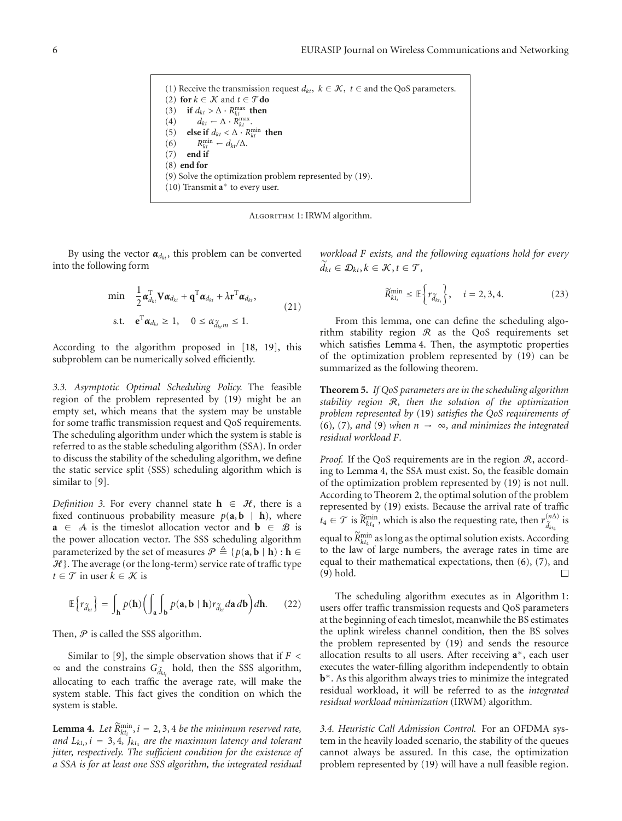(1) Receive the transmission request  $d_{kt}$ ,  $k \in \mathcal{K}$ ,  $t \in$  and the QoS parameters. (2) **for**  $k \in \mathcal{K}$  and  $t \in \mathcal{T}$  **do** (3) **if**  $d_{kt} > \Delta \cdot R_{kt}^{\max}$  **then** (4)  $d_{kt} \leftarrow \Delta \cdot R_{kt}^{\max}$ . (5) **else if**  $d_{kt} < \Delta \cdot R_{kt}^{\min}$  **then** (6)  $R_{kt}^{\min} \leftarrow d_{kt}/\Delta.$ (7) **end if** (8) **end for** (9) Solve the optimization problem represented by (19). (10) Transmit **a**<sup>∗</sup> to every user.

Algorithm 1: IRWM algorithm.

By using the vector  $\alpha_{d_{kt}}$ , this problem can be converted into the following form

$$
\begin{aligned}\n\min \quad & \frac{1}{2} \boldsymbol{\alpha}_{d_{kt}}^{\mathrm{T}} \mathbf{V} \boldsymbol{\alpha}_{d_{kt}} + \mathbf{q}^{\mathrm{T}} \boldsymbol{\alpha}_{d_{kt}} + \lambda \mathbf{r}^{\mathrm{T}} \boldsymbol{\alpha}_{d_{kt}}, \\
\text{s.t.} \quad & \mathbf{e}^{\mathrm{T}} \boldsymbol{\alpha}_{d_{kt}} \geq 1, \quad 0 \leq \alpha_{\widetilde{d}_{kt}m} \leq 1.\n\end{aligned}\n\tag{21}
$$

According to the algorithm proposed in [18, 19], this subproblem can be numerically solved efficiently.

*3.3. Asymptotic Optimal Scheduling Policy.* The feasible region of the problem represented by (19) might be an empty set, which means that the system may be unstable for some traffic transmission request and QoS requirements. The scheduling algorithm under which the system is stable is referred to as the stable scheduling algorithm (SSA). In order to discuss the stability of the scheduling algorithm, we define the static service split (SSS) scheduling algorithm which is similar to [9].

*Definition 3.* For every channel state  $h \in \mathcal{H}$ , there is a fixed continuous probability measure  $p(\mathbf{a}, \mathbf{b} | \mathbf{h})$ , where **a**  $\in$  A is the timeslot allocation vector and **b**  $\in$  B is the power allocation vector. The SSS scheduling algorithm parameterized by the set of measures  $\mathcal{P} \triangleq \{p(\mathbf{a}, \mathbf{b} \mid \mathbf{h}): \mathbf{h} \in \mathcal{P}\}$  $H$ }. The average (or the long-term) service rate of traffic type *t* ∈  $T$  in user  $k \in \mathcal{K}$  is

$$
\mathbb{E}\left\{r_{\widetilde{d}_{kt}}\right\} = \int_{\mathbf{h}} p(\mathbf{h}) \bigg(\int_{\mathbf{a}} \int_{\mathbf{b}} p(\mathbf{a}, \mathbf{b} \mid \mathbf{h}) r_{\widetilde{d}_{kt}} d\mathbf{a} \, d\mathbf{b}\bigg) d\mathbf{h}.\tag{22}
$$

Then,  $P$  is called the SSS algorithm.

Similar to [9], the simple observation shows that if *F <*  $\infty$  and the constrains  $G_{\tilde{d}_{kt_i}}$  hold, then the SSS algorithm, allocating to each traffic the average rate, will make the system stable. This fact gives the condition on which the system is stable.

**Lemma 4.** Let  $\widetilde{R}_{kt_i}^{\min}$ ,  $i = 2, 3, 4$  *be the minimum reserved rate,* and  $L_{kt_i}$ ,  $i = 3, 4$ ,  $J_{kt_4}$  are the maximum latency and tolerant *jitter, respectively. The sufficient condition for the existence of a SSA is for at least one SSS algorithm, the integrated residual* *workload F exists, and the following equations hold for every*  $d_{kt} \in \mathcal{D}_{kt}, k \in \mathcal{K}, t \in \mathcal{T}$ 

$$
\widetilde{R}_{kt_i}^{\min} \le \mathbb{E}\bigg\{r_{\widetilde{d}_{kt_i}}\bigg\}, \quad i = 2, 3, 4. \tag{23}
$$

From this lemma, one can define the scheduling algorithm stability region  $\Re$  as the QoS requirements set which satisfies Lemma 4. Then, the asymptotic properties of the optimization problem represented by (19) can be summarized as the following theorem.

**Theorem 5.** *If QoS parameters are in the scheduling algorithm stability region* R*, then the solution of the optimization problem represented by* (19) *satisfies the QoS requirements of* (6)*,* (7)*, and* (9) *when n* → ∞*, and minimizes the integrated residual workload F.*

*Proof.* If the QoS requirements are in the region  $\mathcal{R}$ , according to Lemma 4, the SSA must exist. So, the feasible domain of the optimization problem represented by (19) is not null. According to Theorem 2, the optimal solution of the problem represented by (19) exists. Because the arrival rate of traffic  $t_4 \in \mathcal{T}$  is  $\widetilde{R}^{\min}_{kt_4}$ , which is also the requesting rate, then  $\overline{r}^{(n\Delta)}_{\widetilde{d}_{kt_4}}$  $\tilde{d}_{kt_4}^{(n\Delta)}$  is equal to  $\widetilde{R}^{\min}_{kt_4}$  as long as the optimal solution exists. According to the law of large numbers, the average rates in time are equal to their mathematical expectations, then (6), (7), and (9) hold.  $\Box$ 

The scheduling algorithm executes as in Algorithm 1: users offer traffic transmission requests and QoS parameters at the beginning of each timeslot, meanwhile the BS estimates the uplink wireless channel condition, then the BS solves the problem represented by (19) and sends the resource allocation results to all users. After receiving **a**∗, each user executes the water-filling algorithm independently to obtain **b**∗. As this algorithm always tries to minimize the integrated residual workload, it will be referred to as the *integrated residual workload minimization* (IRWM) algorithm.

*3.4. Heuristic Call Admission Control.* For an OFDMA system in the heavily loaded scenario, the stability of the queues cannot always be assured. In this case, the optimization problem represented by (19) will have a null feasible region.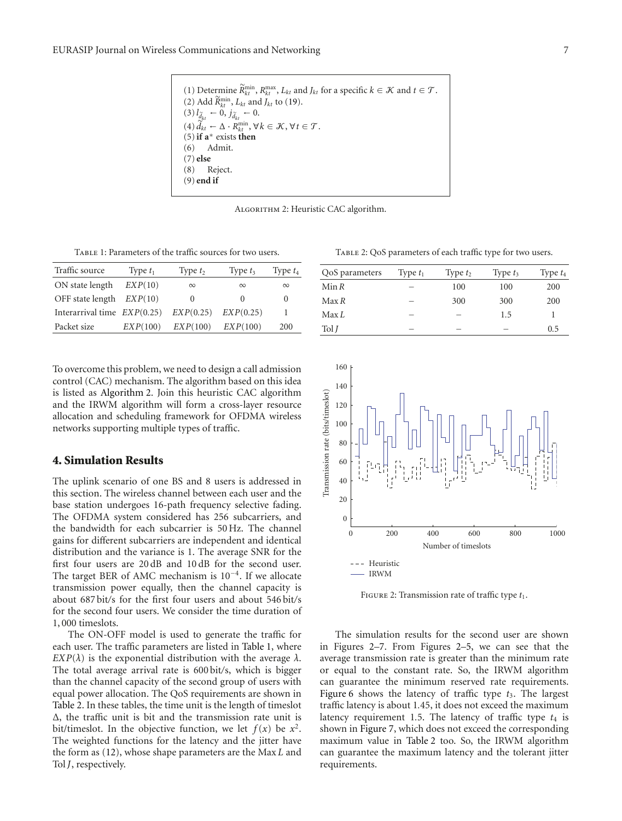(1) Determine  $\widetilde{R}_{kt}^{\min}$ ,  $R_{kt}^{\max}$ ,  $L_{kt}$  and  $J_{kt}$  for a specific  $k \in \mathcal{K}$  and  $t \in \mathcal{T}$ . (2) Add  $\widetilde{R}_{kt}^{\min}$ ,  $L_{kt}$  and  $J_{kt}$  to (19).  $(3)$   $l_{\tilde{d}_{kt}} \leftarrow 0, j_{\tilde{d}_{kt}} \leftarrow 0.$  $\widetilde{d}_{kt} \leftarrow \Delta \cdot R_{kt}^{\min}, \forall k \in \mathcal{K}, \forall t \in \mathcal{T}.$ (5)**if a**<sup>∗</sup> exists **then** (6) Admit. (7) **else** (8) Reject. (9) **end if**

Algorithm 2: Heuristic CAC algorithm.

Table 1: Parameters of the traffic sources for two users.

| Traffic source                | Type $t_1$ | Type $t_2$       | Type $t_3$ | Type $t_4$ |
|-------------------------------|------------|------------------|------------|------------|
| ON state length               | EXP(10)    | $\infty$         | $\infty$   | $\infty$   |
| OFF state length $EXP(10)$    |            | $\left( \right)$ | $\theta$   | $\theta$   |
| Interarrival time $EXP(0.25)$ |            | EXP(0.25)        | EXP(0.25)  |            |
| Packet size                   | EXP(100)   | EXP(100)         | EXP(100)   | 200        |

To overcome this problem, we need to design a call admission control (CAC) mechanism. The algorithm based on this idea is listed as Algorithm 2. Join this heuristic CAC algorithm and the IRWM algorithm will form a cross-layer resource allocation and scheduling framework for OFDMA wireless networks supporting multiple types of traffic.

#### **4. Simulation Results**

The uplink scenario of one BS and 8 users is addressed in this section. The wireless channel between each user and the base station undergoes 16-path frequency selective fading. The OFDMA system considered has 256 subcarriers, and the bandwidth for each subcarrier is 50 Hz. The channel gains for different subcarriers are independent and identical distribution and the variance is 1. The average SNR for the first four users are 20 dB and 10 dB for the second user. The target BER of AMC mechanism is 10−4. If we allocate transmission power equally, then the channel capacity is about 687 bit*/*s for the first four users and about 546 bit*/*s for the second four users. We consider the time duration of 1, 000 timeslots.

The ON-OFF model is used to generate the traffic for each user. The traffic parameters are listed in Table 1, where *EXP*( $λ$ ) is the exponential distribution with the average  $λ$ . The total average arrival rate is 600 bit*/*s, which is bigger than the channel capacity of the second group of users with equal power allocation. The QoS requirements are shown in Table 2. In these tables, the time unit is the length of timeslot Δ, the traffic unit is bit and the transmission rate unit is bit/timeslot. In the objective function, we let  $f(x)$  be  $x^2$ . The weighted functions for the latency and the jitter have the form as (12), whose shape parameters are the Max *L* and Tol *J*, respectively.

Table 2: QoS parameters of each traffic type for two users.

| QoS parameters   | Type $t_1$ | Type $t_2$ | Type $t_3$ | Type $t_4$ |
|------------------|------------|------------|------------|------------|
| Min R            |            | 100        | 100        | 200        |
| Max R            |            | 300        | 300        | 200        |
| Max <sub>L</sub> | –          | -          | 1.5        |            |
| Tol <sub>I</sub> | _          | _          | -          | 0.5        |



FIGURE 2: Transmission rate of traffic type  $t_1$ .

The simulation results for the second user are shown in Figures 2–7. From Figures 2–5, we can see that the average transmission rate is greater than the minimum rate or equal to the constant rate. So, the IRWM algorithm can guarantee the minimum reserved rate requirements. Figure 6 shows the latency of traffic type  $t_3$ . The largest traffic latency is about 1*.*45, it does not exceed the maximum latency requirement 1.5. The latency of traffic type  $t_4$  is shown in Figure 7, which does not exceed the corresponding maximum value in Table 2 too. So, the IRWM algorithm can guarantee the maximum latency and the tolerant jitter requirements.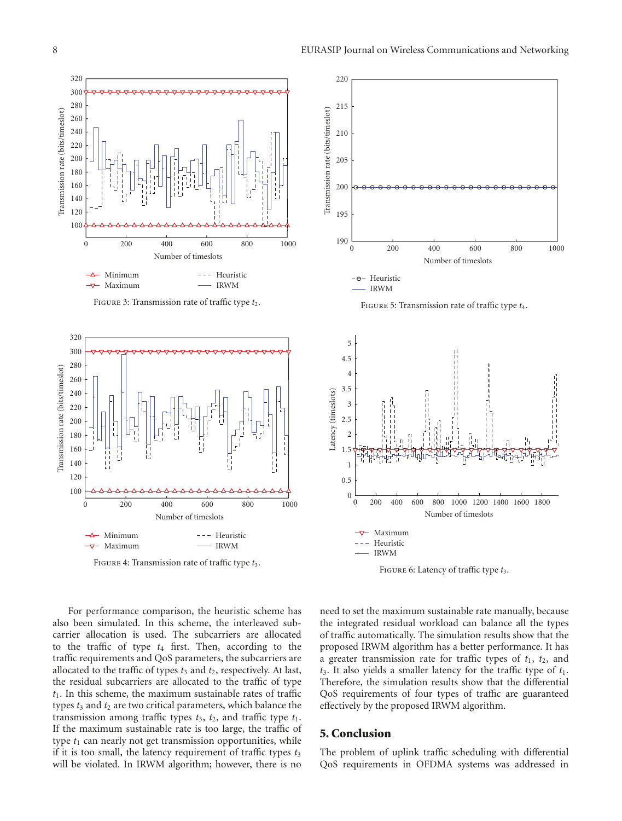

FIGURE 3: Transmission rate of traffic type  $t_2$ .



Figure 4: Transmission rate of traffic type *t*3.



For performance comparison, the heuristic scheme has also been simulated. In this scheme, the interleaved subcarrier allocation is used. The subcarriers are allocated to the traffic of type *t*<sup>4</sup> first. Then, according to the traffic requirements and QoS parameters, the subcarriers are allocated to the traffic of types  $t_3$  and  $t_2$ , respectively. At last, the residual subcarriers are allocated to the traffic of type *t*1. In this scheme, the maximum sustainable rates of traffic types  $t_3$  and  $t_2$  are two critical parameters, which balance the transmission among traffic types  $t_3$ ,  $t_2$ , and traffic type  $t_1$ . If the maximum sustainable rate is too large, the traffic of type  $t_1$  can nearly not get transmission opportunities, while if it is too small, the latency requirement of traffic types  $t_3$ will be violated. In IRWM algorithm; however, there is no

need to set the maximum sustainable rate manually, because the integrated residual workload can balance all the types of traffic automatically. The simulation results show that the proposed IRWM algorithm has a better performance. It has a greater transmission rate for traffic types of  $t_1$ ,  $t_2$ , and *t*3. It also yields a smaller latency for the traffic type of *t*1. Therefore, the simulation results show that the differential QoS requirements of four types of traffic are guaranteed effectively by the proposed IRWM algorithm.

#### **5. Conclusion**

The problem of uplink traffic scheduling with differential QoS requirements in OFDMA systems was addressed in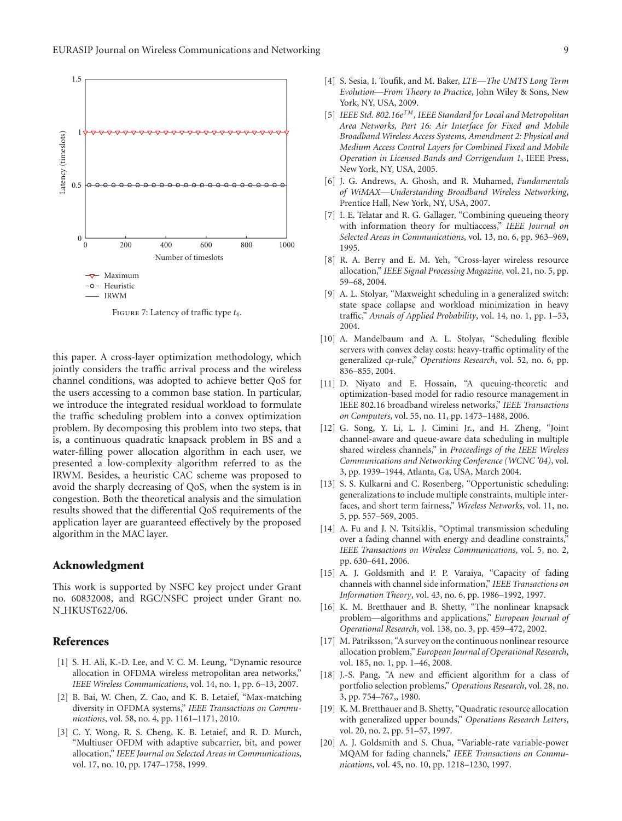

Figure 7: Latency of traffic type *t*4.

this paper. A cross-layer optimization methodology, which jointly considers the traffic arrival process and the wireless channel conditions, was adopted to achieve better QoS for the users accessing to a common base station. In particular, we introduce the integrated residual workload to formulate the traffic scheduling problem into a convex optimization problem. By decomposing this problem into two steps, that is, a continuous quadratic knapsack problem in BS and a water-filling power allocation algorithm in each user, we presented a low-complexity algorithm referred to as the IRWM. Besides, a heuristic CAC scheme was proposed to avoid the sharply decreasing of QoS, when the system is in congestion. Both the theoretical analysis and the simulation results showed that the differential QoS requirements of the application layer are guaranteed effectively by the proposed algorithm in the MAC layer.

#### **Acknowledgment**

This work is supported by NSFC key project under Grant no. 60832008, and RGC/NSFC project under Grant no. N HKUST622/06.

#### **References**

- [1] S. H. Ali, K.-D. Lee, and V. C. M. Leung, "Dynamic resource allocation in OFDMA wireless metropolitan area networks," *IEEE Wireless Communications*, vol. 14, no. 1, pp. 6–13, 2007.
- [2] B. Bai, W. Chen, Z. Cao, and K. B. Letaief, "Max-matching diversity in OFDMA systems," *IEEE Transactions on Communications*, vol. 58, no. 4, pp. 1161–1171, 2010.
- [3] C. Y. Wong, R. S. Cheng, K. B. Letaief, and R. D. Murch, "Multiuser OFDM with adaptive subcarrier, bit, and power allocation," *IEEE Journal on Selected Areas in Communications*, vol. 17, no. 10, pp. 1747–1758, 1999.
- [4] S. Sesia, I. Toufik, and M. Baker, *LTE—The UMTS Long Term Evolution—From Theory to Practice*, John Wiley & Sons, New York, NY, USA, 2009.
- [5] *IEEE Std. 802.16eTM, IEEE Standard for Local and Metropolitan Area Networks, Part 16: Air Interface for Fixed and Mobile Broadband Wireless Access Systems, Amendment 2: Physical and Medium Access Control Layers for Combined Fixed and Mobile Operation in Licensed Bands and Corrigendum 1*, IEEE Press, New York, NY, USA, 2005.
- [6] J. G. Andrews, A. Ghosh, and R. Muhamed, *Fundamentals of WiMAX—Understanding Broadband Wireless Networking*, Prentice Hall, New York, NY, USA, 2007.
- [7] I. E. Telatar and R. G. Gallager, "Combining queueing theory with information theory for multiaccess," *IEEE Journal on Selected Areas in Communications*, vol. 13, no. 6, pp. 963–969, 1995.
- [8] R. A. Berry and E. M. Yeh, "Cross-layer wireless resource allocation," *IEEE Signal Processing Magazine*, vol. 21, no. 5, pp. 59–68, 2004.
- [9] A. L. Stolyar, "Maxweight scheduling in a generalized switch: state space collapse and workload minimization in heavy traffic," *Annals of Applied Probability*, vol. 14, no. 1, pp. 1–53, 2004.
- [10] A. Mandelbaum and A. L. Stolyar, "Scheduling flexible servers with convex delay costs: heavy-traffic optimality of the generalized c*μ*-rule," *Operations Research*, vol. 52, no. 6, pp. 836–855, 2004.
- [11] D. Niyato and E. Hossain, "A queuing-theoretic and optimization-based model for radio resource management in IEEE 802.16 broadband wireless networks," *IEEE Transactions on Computers*, vol. 55, no. 11, pp. 1473–1488, 2006.
- [12] G. Song, Y. Li, L. J. Cimini Jr., and H. Zheng, "Joint channel-aware and queue-aware data scheduling in multiple shared wireless channels," in *Proceedings of the IEEE Wireless Communications and Networking Conference (WCNC '04)*, vol. 3, pp. 1939–1944, Atlanta, Ga, USA, March 2004.
- [13] S. S. Kulkarni and C. Rosenberg, "Opportunistic scheduling: generalizations to include multiple constraints, multiple interfaces, and short term fairness," *Wireless Networks*, vol. 11, no. 5, pp. 557–569, 2005.
- [14] A. Fu and J. N. Tsitsiklis, "Optimal transmission scheduling over a fading channel with energy and deadline constraints," *IEEE Transactions on Wireless Communications*, vol. 5, no. 2, pp. 630–641, 2006.
- [15] A. J. Goldsmith and P. P. Varaiya, "Capacity of fading channels with channel side information," *IEEE Transactions on Information Theory*, vol. 43, no. 6, pp. 1986–1992, 1997.
- [16] K. M. Bretthauer and B. Shetty, "The nonlinear knapsack problem—algorithms and applications," *European Journal of Operational Research*, vol. 138, no. 3, pp. 459–472, 2002.
- [17] M. Patriksson, "A survey on the continuous nonlinear resource allocation problem," *European Journal of Operational Research*, vol. 185, no. 1, pp. 1–46, 2008.
- [18] J.-S. Pang, "A new and efficient algorithm for a class of portfolio selection problems," *Operations Research*, vol. 28, no. 3, pp. 754–767,, 1980.
- [19] K. M. Bretthauer and B. Shetty, "Quadratic resource allocation with generalized upper bounds," *Operations Research Letters*, vol. 20, no. 2, pp. 51–57, 1997.
- [20] A. J. Goldsmith and S. Chua, "Variable-rate variable-power MQAM for fading channels," *IEEE Transactions on Communications*, vol. 45, no. 10, pp. 1218–1230, 1997.